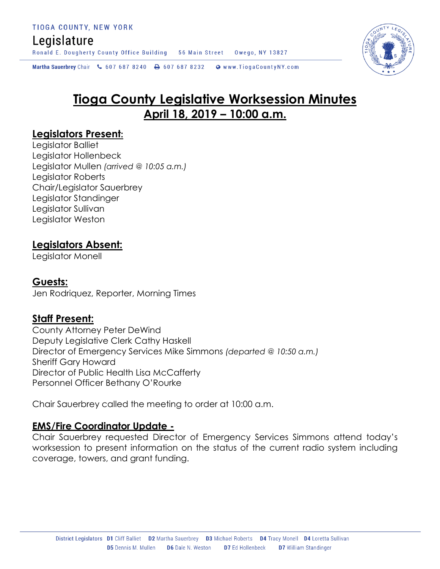## Legislature

Ronald E. Dougherty County Office Building 56 Main Street Owego, NY 13827

Martha Sauerbrey Chair & 607 687 8240 <a>B</a>607 687 8232 <a>B</a>Www.TiogaCountyNY.com

# **Tioga County Legislative Worksession Minutes April 18, 2019 – 10:00 a.m.**

## **Legislators Present:**

Legislator Balliet Legislator Hollenbeck Legislator Mullen *(arrived @ 10:05 a.m.)* Legislator Roberts Chair/Legislator Sauerbrey Legislator Standinger Legislator Sullivan Legislator Weston

## **Legislators Absent:**

Legislator Monell

## **Guests:**

Jen Rodriquez, Reporter, Morning Times

## **Staff Present:**

County Attorney Peter DeWind Deputy Legislative Clerk Cathy Haskell Director of Emergency Services Mike Simmons *(departed @ 10:50 a.m.)* Sheriff Gary Howard Director of Public Health Lisa McCafferty Personnel Officer Bethany O'Rourke

Chair Sauerbrey called the meeting to order at 10:00 a.m.

### **EMS/Fire Coordinator Update -**

Chair Sauerbrey requested Director of Emergency Services Simmons attend today's worksession to present information on the status of the current radio system including coverage, towers, and grant funding.

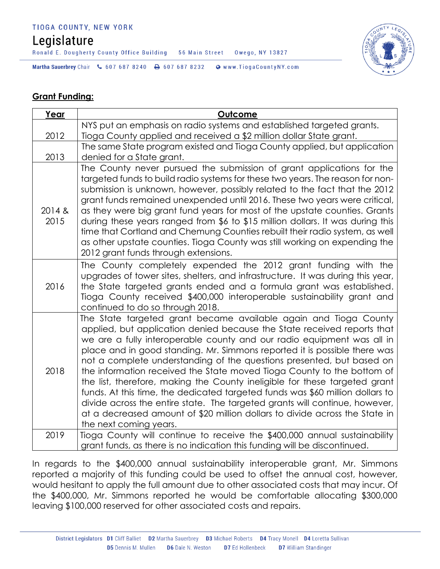#### TIOGA COUNTY, NEW YORK

# Legislature

Ronald E. Dougherty County Office Building 56 Main Street Owego, NY 13827



Martha Sauerbrey Chair & 607 687 8240 \ 607 687 8232 \ @ www.TiogaCountyNY.com

#### **Grant Funding:**

| Year           | <b>Outcome</b>                                                                                                                                                                                                                                                                                                                                                                                                                                                                                                                                                                                                                                                                                                                                                                                               |
|----------------|--------------------------------------------------------------------------------------------------------------------------------------------------------------------------------------------------------------------------------------------------------------------------------------------------------------------------------------------------------------------------------------------------------------------------------------------------------------------------------------------------------------------------------------------------------------------------------------------------------------------------------------------------------------------------------------------------------------------------------------------------------------------------------------------------------------|
|                | NYS put an emphasis on radio systems and established targeted grants.                                                                                                                                                                                                                                                                                                                                                                                                                                                                                                                                                                                                                                                                                                                                        |
| 2012           | Tioga County applied and received a \$2 million dollar State grant.                                                                                                                                                                                                                                                                                                                                                                                                                                                                                                                                                                                                                                                                                                                                          |
|                | The same State program existed and Tioga County applied, but application                                                                                                                                                                                                                                                                                                                                                                                                                                                                                                                                                                                                                                                                                                                                     |
| 2013           | denied for a State grant.                                                                                                                                                                                                                                                                                                                                                                                                                                                                                                                                                                                                                                                                                                                                                                                    |
| 2014 &<br>2015 | The County never pursued the submission of grant applications for the<br>targeted funds to build radio systems for these two years. The reason for non-<br>submission is unknown, however, possibly related to the fact that the 2012<br>grant funds remained unexpended until 2016. These two years were critical,<br>as they were big grant fund years for most of the upstate counties. Grants<br>during these years ranged from \$6 to \$15 million dollars. It was during this<br>time that Cortland and Chemung Counties rebuilt their radio system, as well<br>as other upstate counties. Tioga County was still working on expending the<br>2012 grant funds through extensions.                                                                                                                     |
| 2016           | The County completely expended the 2012 grant funding with the<br>upgrades of tower sites, shelters, and infrastructure. It was during this year,<br>the State targeted grants ended and a formula grant was established.<br>Tioga County received \$400,000 interoperable sustainability grant and<br>continued to do so through 2018.                                                                                                                                                                                                                                                                                                                                                                                                                                                                      |
| 2018           | The State targeted grant became available again and Tioga County<br>applied, but application denied because the State received reports that<br>we are a fully interoperable county and our radio equipment was all in<br>place and in good standing. Mr. Simmons reported it is possible there was<br>not a complete understanding of the questions presented, but based on<br>the information received the State moved Tioga County to the bottom of<br>the list, therefore, making the County ineligible for these targeted grant<br>funds. At this time, the dedicated targeted funds was \$60 million dollars to<br>divide across the entire state. The targeted grants will continue, however,<br>at a decreased amount of \$20 million dollars to divide across the State in<br>the next coming years. |
| 2019           | Tioga County will continue to receive the \$400,000 annual sustainability<br>grant funds, as there is no indication this funding will be discontinued.                                                                                                                                                                                                                                                                                                                                                                                                                                                                                                                                                                                                                                                       |

In regards to the \$400,000 annual sustainability interoperable grant, Mr. Simmons reported a majority of this funding could be used to offset the annual cost, however, would hesitant to apply the full amount due to other associated costs that may incur. Of the \$400,000, Mr. Simmons reported he would be comfortable allocating \$300,000 leaving \$100,000 reserved for other associated costs and repairs.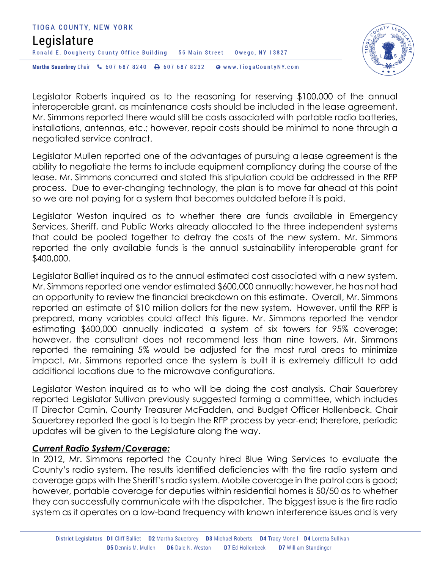



Legislator Roberts inquired as to the reasoning for reserving \$100,000 of the annual interoperable grant, as maintenance costs should be included in the lease agreement. Mr. Simmons reported there would still be costs associated with portable radio batteries, installations, antennas, etc.; however, repair costs should be minimal to none through a negotiated service contract.

Legislator Mullen reported one of the advantages of pursuing a lease agreement is the ability to negotiate the terms to include equipment compliancy during the course of the lease. Mr. Simmons concurred and stated this stipulation could be addressed in the RFP process. Due to ever-changing technology, the plan is to move far ahead at this point so we are not paying for a system that becomes outdated before it is paid.

Legislator Weston inquired as to whether there are funds available in Emergency Services, Sheriff, and Public Works already allocated to the three independent systems that could be pooled together to defray the costs of the new system. Mr. Simmons reported the only available funds is the annual sustainability interoperable grant for \$400,000.

Legislator Balliet inquired as to the annual estimated cost associated with a new system. Mr. Simmons reported one vendor estimated \$600,000 annually; however, he has not had an opportunity to review the financial breakdown on this estimate. Overall, Mr. Simmons reported an estimate of \$10 million dollars for the new system. However, until the RFP is prepared, many variables could affect this figure. Mr. Simmons reported the vendor estimating \$600,000 annually indicated a system of six towers for 95% coverage; however, the consultant does not recommend less than nine towers. Mr. Simmons reported the remaining 5% would be adjusted for the most rural areas to minimize impact. Mr. Simmons reported once the system is built it is extremely difficult to add additional locations due to the microwave configurations.

Legislator Weston inquired as to who will be doing the cost analysis. Chair Sauerbrey reported Legislator Sullivan previously suggested forming a committee, which includes IT Director Camin, County Treasurer McFadden, and Budget Officer Hollenbeck. Chair Sauerbrey reported the goal is to begin the RFP process by year-end; therefore, periodic updates will be given to the Legislature along the way.

#### *Current Radio System/Coverage:*

In 2012, Mr. Simmons reported the County hired Blue Wing Services to evaluate the County's radio system. The results identified deficiencies with the fire radio system and coverage gaps with the Sheriff's radio system. Mobile coverage in the patrol cars is good; however, portable coverage for deputies within residential homes is 50/50 as to whether they can successfully communicate with the dispatcher. The biggest issue is the fire radio system as it operates on a low-band frequency with known interference issues and is very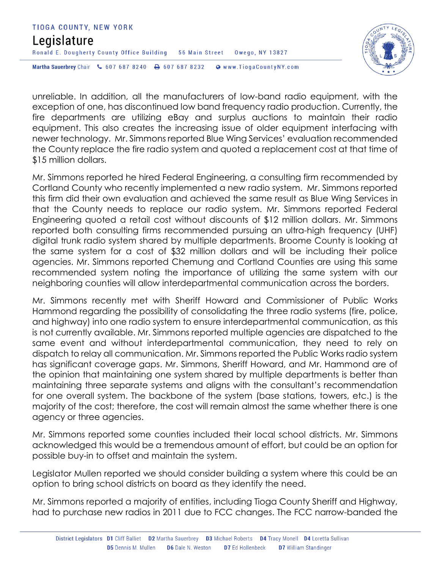#### TIOGA COUNTY, NEW YORK Legislature Ronald E. Dougherty County Office Building 56 Main Street Owego, NY 13827 Martha Sauerbrey Chair & 607 687 8240 & 607 687 8232 Www.TiogaCountyNY.com



unreliable. In addition, all the manufacturers of low-band radio equipment, with the exception of one, has discontinued low band frequency radio production. Currently, the fire departments are utilizing eBay and surplus auctions to maintain their radio equipment. This also creates the increasing issue of older equipment interfacing with newer technology. Mr. Simmons reported Blue Wing Services' evaluation recommended the County replace the fire radio system and quoted a replacement cost at that time of \$15 million dollars.

Mr. Simmons reported he hired Federal Engineering, a consulting firm recommended by Cortland County who recently implemented a new radio system. Mr. Simmons reported this firm did their own evaluation and achieved the same result as Blue Wing Services in that the County needs to replace our radio system. Mr. Simmons reported Federal Engineering quoted a retail cost without discounts of \$12 million dollars. Mr. Simmons reported both consulting firms recommended pursuing an ultra-high frequency (UHF) digital trunk radio system shared by multiple departments. Broome County is looking at the same system for a cost of \$32 million dollars and will be including their police agencies. Mr. Simmons reported Chemung and Cortland Counties are using this same recommended system noting the importance of utilizing the same system with our neighboring counties will allow interdepartmental communication across the borders.

Mr. Simmons recently met with Sheriff Howard and Commissioner of Public Works Hammond regarding the possibility of consolidating the three radio systems (fire, police, and highway) into one radio system to ensure interdepartmental communication, as this is not currently available. Mr. Simmons reported multiple agencies are dispatched to the same event and without interdepartmental communication, they need to rely on dispatch to relay all communication. Mr. Simmons reported the Public Works radio system has significant coverage gaps. Mr. Simmons, Sheriff Howard, and Mr. Hammond are of the opinion that maintaining one system shared by multiple departments is better than maintaining three separate systems and aligns with the consultant's recommendation for one overall system. The backbone of the system (base stations, towers, etc.) is the majority of the cost; therefore, the cost will remain almost the same whether there is one agency or three agencies.

Mr. Simmons reported some counties included their local school districts. Mr. Simmons acknowledged this would be a tremendous amount of effort, but could be an option for possible buy-in to offset and maintain the system.

Legislator Mullen reported we should consider building a system where this could be an option to bring school districts on board as they identify the need.

Mr. Simmons reported a majority of entities, including Tioga County Sheriff and Highway, had to purchase new radios in 2011 due to FCC changes. The FCC narrow-banded the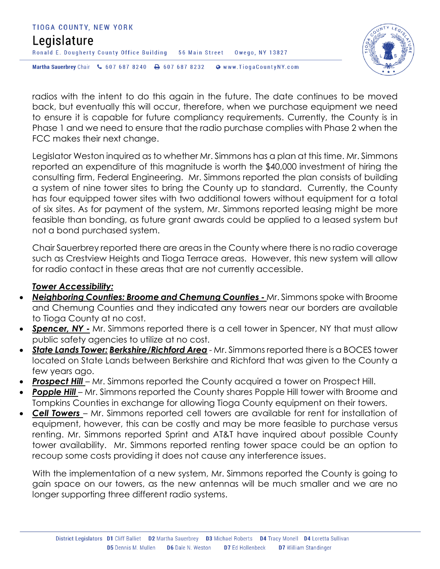



radios with the intent to do this again in the future. The date continues to be moved back, but eventually this will occur, therefore, when we purchase equipment we need to ensure it is capable for future compliancy requirements. Currently, the County is in Phase 1 and we need to ensure that the radio purchase complies with Phase 2 when the FCC makes their next change.

Legislator Weston inquired as to whether Mr. Simmons has a plan at this time. Mr. Simmons reported an expenditure of this magnitude is worth the \$40,000 investment of hiring the consulting firm, Federal Engineering. Mr. Simmons reported the plan consists of building a system of nine tower sites to bring the County up to standard. Currently, the County has four equipped tower sites with two additional towers without equipment for a total of six sites. As for payment of the system, Mr. Simmons reported leasing might be more feasible than bonding, as future grant awards could be applied to a leased system but not a bond purchased system.

Chair Sauerbrey reported there are areas in the County where there is no radio coverage such as Crestview Heights and Tioga Terrace areas. However, this new system will allow for radio contact in these areas that are not currently accessible.

#### *Tower Accessibility:*

- *Neighboring Counties: Broome and Chemung Counties -* Mr. Simmons spoke with Broome and Chemung Counties and they indicated any towers near our borders are available to Tioga County at no cost.
- **Spencer, NY -** Mr. Simmons reported there is a cell tower in Spencer, NY that must allow public safety agencies to utilize at no cost.
- *State Lands Tower: Berkshire/Richford Area* Mr. Simmons reported there is a BOCES tower located on State Lands between Berkshire and Richford that was given to the County a few years ago.
- **Prospect Hill** Mr. Simmons reported the County acquired a tower on Prospect Hill.
- **Popple Hill** Mr. Simmons reported the County shares Popple Hill tower with Broome and Tompkins Counties in exchange for allowing Tioga County equipment on their towers.
- *Cell Towers*  Mr. Simmons reported cell towers are available for rent for installation of equipment, however, this can be costly and may be more feasible to purchase versus renting. Mr. Simmons reported Sprint and AT&T have inquired about possible County tower availability. Mr. Simmons reported renting tower space could be an option to recoup some costs providing it does not cause any interference issues.

With the implementation of a new system, Mr. Simmons reported the County is going to gain space on our towers, as the new antennas will be much smaller and we are no longer supporting three different radio systems.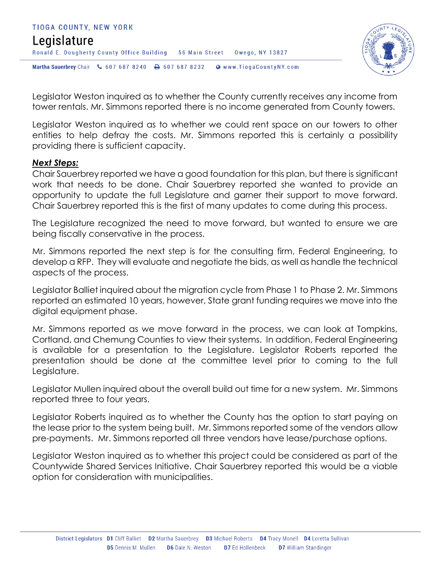



Legislator Weston inquired as to whether the County currently receives any income from tower rentals. Mr. Simmons reported there is no income generated from County towers.

Legislator Weston inquired as to whether we could rent space on our towers to other entities to help defray the costs. Mr. Simmons reported this is certainly a possibility providing there is sufficient capacity.

#### *Next Steps:*

Chair Sauerbrey reported we have a good foundation for this plan, but there is significant work that needs to be done. Chair Sauerbrey reported she wanted to provide an opportunity to update the full Legislature and garner their support to move forward. Chair Sauerbrey reported this is the first of many updates to come during this process.

The Legislature recognized the need to move forward, but wanted to ensure we are being fiscally conservative in the process.

Mr. Simmons reported the next step is for the consulting firm, Federal Engineering, to develop a RFP. They will evaluate and negotiate the bids, as well as handle the technical aspects of the process.

Legislator Balliet inquired about the migration cycle from Phase 1 to Phase 2. Mr. Simmons reported an estimated 10 years, however, State grant funding requires we move into the digital equipment phase.

Mr. Simmons reported as we move forward in the process, we can look at Tompkins, Cortland, and Chemung Counties to view their systems. In addition, Federal Engineering is available for a presentation to the Legislature. Legislator Roberts reported the presentation should be done at the committee level prior to coming to the full Legislature.

Legislator Mullen inquired about the overall build out time for a new system. Mr. Simmons reported three to four years.

Legislator Roberts inquired as to whether the County has the option to start paying on the lease prior to the system being built. Mr. Simmons reported some of the vendors allow pre-payments. Mr. Simmons reported all three vendors have lease/purchase options.

Legislator Weston inquired as to whether this project could be considered as part of the Countywide Shared Services Initiative. Chair Sauerbrey reported this would be a viable option for consideration with municipalities.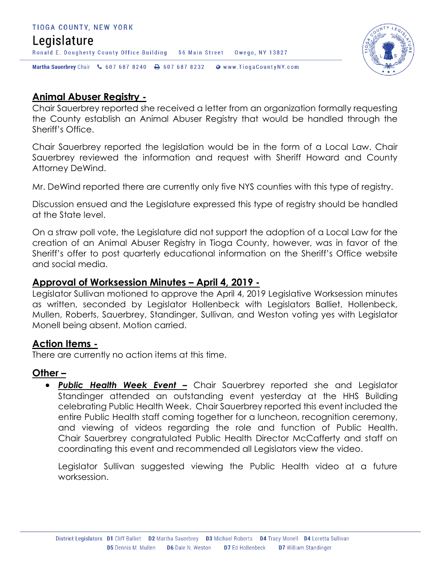#### TIOGA COUNTY, NEW YORK Legislature Ronald E. Dougherty County Office Building 56 Main Street Owego, NY 13827 Martha Sauerbrey Chair & 607 687 8240 <a>B</a>607 687 8232 <a>B</a>Www.TiogaCountyNY.com



## **Animal Abuser Registry -**

Chair Sauerbrey reported she received a letter from an organization formally requesting the County establish an Animal Abuser Registry that would be handled through the Sheriff's Office.

Chair Sauerbrey reported the legislation would be in the form of a Local Law. Chair Sauerbrey reviewed the information and request with Sheriff Howard and County Attorney DeWind.

Mr. DeWind reported there are currently only five NYS counties with this type of registry.

Discussion ensued and the Legislature expressed this type of registry should be handled at the State level.

On a straw poll vote, the Legislature did not support the adoption of a Local Law for the creation of an Animal Abuser Registry in Tioga County, however, was in favor of the Sheriff's offer to post quarterly educational information on the Sheriff's Office website and social media.

### **Approval of Worksession Minutes – April 4, 2019 -**

Legislator Sullivan motioned to approve the April 4, 2019 Legislative Worksession minutes as written, seconded by Legislator Hollenbeck with Legislators Balliet, Hollenbeck, Mullen, Roberts, Sauerbrey, Standinger, Sullivan, and Weston voting yes with Legislator Monell being absent. Motion carried.

### **Action Items -**

There are currently no action items at this time.

## **Other –**

 *Public Health Week Event –* Chair Sauerbrey reported she and Legislator Standinger attended an outstanding event yesterday at the HHS Building celebrating Public Health Week. Chair Sauerbrey reported this event included the entire Public Health staff coming together for a luncheon, recognition ceremony, and viewing of videos regarding the role and function of Public Health. Chair Sauerbrey congratulated Public Health Director McCafferty and staff on coordinating this event and recommended all Legislators view the video.

Legislator Sullivan suggested viewing the Public Health video at a future worksession.